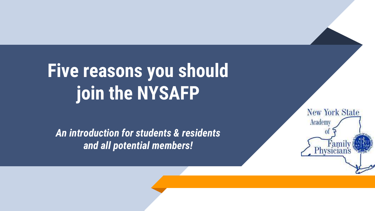# **Five reasons you should join the NYSAFP**

*An introduction for students & residents and all potential members!*

**New York State** Academy Physicia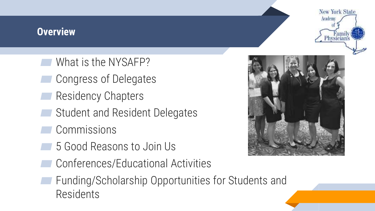#### **Overview**

- ▰ What is the NYSAFP?
- Congress of Delegates
- **Residency Chapters**
- Student and Resident Delegates
- Commissions
- ▰ 5 Good Reasons to Join Us
- ▰ Conferences/Educational Activities
- ▰ Funding/Scholarship Opportunities for Students and Residents



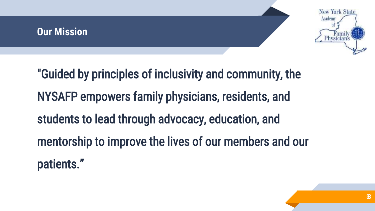#### **Our Mission**



"Guided by principles of inclusivity and community, the NYSAFP empowers family physicians, residents, and students to lead through advocacy, education, and mentorship to improve the lives of our members and our patients."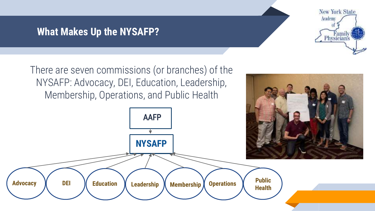#### **What Makes Up the NYSAFP?**



There are seven commissions (or branches) of the NYSAFP: Advocacy, DEI, Education, Leadership, Membership, Operations, and Public Health

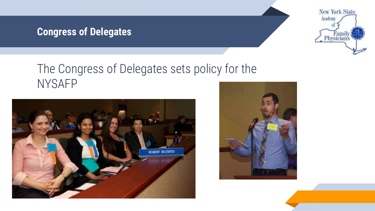### **Congress of Delegates**



# The Congress of Delegates sets policy for the NYSAFP



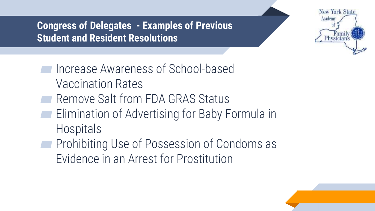**Congress of Delegates - Examples of Previous Student and Resident Resolutions**



- ▰ Increase Awareness of School-based Vaccination Rates ▰ Remove Salt from FDA GRAS Status ▰ Elimination of Advertising for Baby Formula in
	- Hospitals
- ▰ Prohibiting Use of Possession of Condoms as Evidence in an Arrest for Prostitution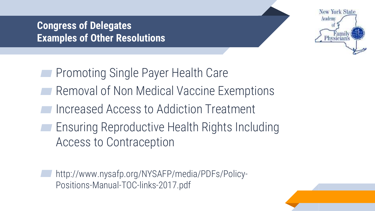### **Congress of Delegates Examples of Other Resolutions**



- ▰ Promoting Single Payer Health Care
- Removal of Non Medical Vaccine Exemptions
- Increased Access to Addiction Treatment
- ▰ Ensuring Reproductive Health Rights Including Access to Contraception

▰ http://www.nysafp.org/NYSAFP/media/PDFs/Policy-Positions-Manual-TOC-links-2017.pdf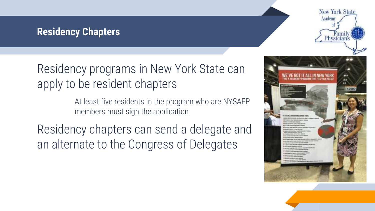#### **Residency Chapters**

# Residency programs in New York State can apply to be resident chapters

At least five residents in the program who are NYSAFP members must sign the application

Residency chapters can send a delegate and an alternate to the Congress of Delegates



**New York State** 

Academ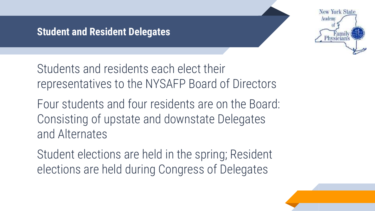#### **Student and Resident Delegates**



Students and residents each elect their representatives to the NYSAFP Board of Directors

Four students and four residents are on the Board: Consisting of upstate and downstate Delegates and Alternates

Student elections are held in the spring; Resident elections are held during Congress of Delegates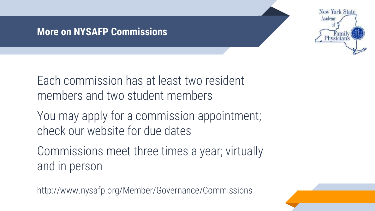

#### **More on NYSAFP Commissions**

Each commission has at least two resident members and two student members

You may apply for a commission appointment; check our website for due dates

Commissions meet three times a year; virtually and in person

http://www.nysafp.org/Member/Governance/Commissions

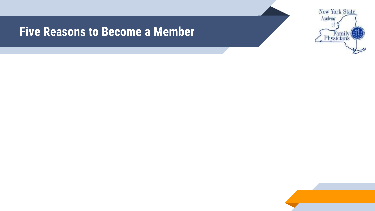### **Five Reasons to Become a Member**



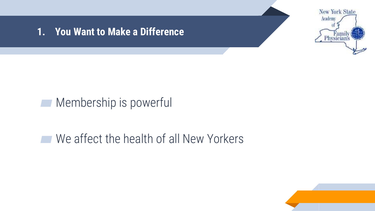

#### **1. You Want to Make a Difference**

## **■ Membership is powerful**

# ▰ We affect the health of all New Yorkers

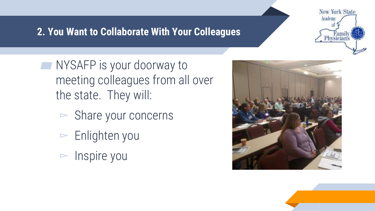### **2. You Want to Collaborate With Your Colleagues**

**New York State** Academ

- **NYSAFP** is your doorway to meeting colleagues from all over the state. They will:
	- $\triangleright$  Share your concerns
	- $\blacktriangleright$  Enlighten you
	- $\triangleright$  Inspire you



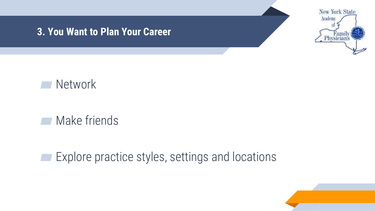#### **3. You Want to Plan Your Career**





▰ Make friends

**■ Explore practice styles, settings and locations** 

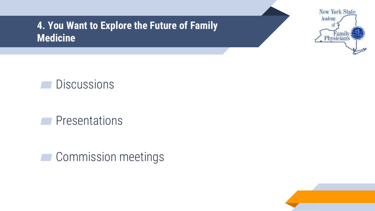**4. You Want to Explore the Future of Family Medicine**





**■** Presentations

**■ Commission meetings** 

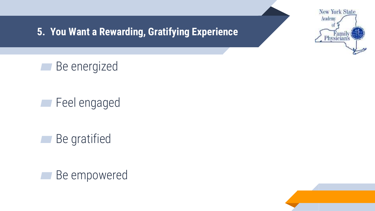

**5. You Want a Rewarding, Gratifying Experience**

**■** Be energized

▰ Feel engaged

**■** Be gratified



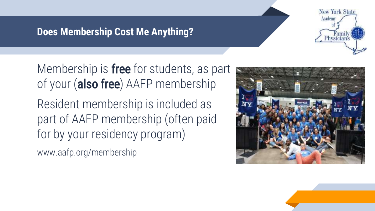### **Does Membership Cost Me Anything?**

Membership is **free** for students, as part of your (also free) AAFP membership

Resident membership is included as part of AAFP membership (often paid for by your residency program)

www.aafp.org/membership



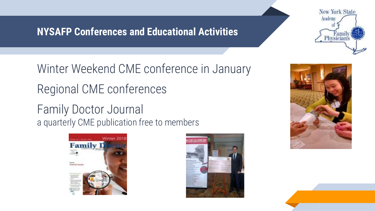### **NYSAFP Conferences and Educational Activities**



Winter Weekend CME conference in January Regional CME conferences

Family Doctor Journal a quarterly CME publication free to members





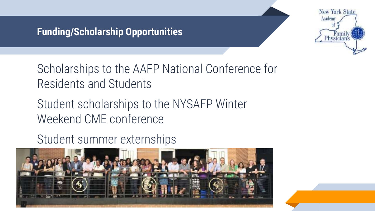### **Funding/Scholarship Opportunities**



Scholarships to the AAFP National Conference for Residents and Students

Student scholarships to the NYSAFP Winter Weekend CME conference

Student summer externships

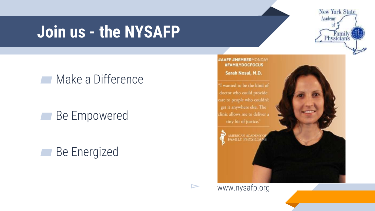# **Join us - the NYSAFP**

# Make a Difference

# ■ Be Empowered

# **■ Be Energized**



#AAFP #MEMBERMONDAY **#FAMILYDOCFOCUS** 

Sarah Nosal, M.D.

I wanted to be the kind of doctor who could provide clinic allows me to deliver a tiny bit of justice."



▻ www.nysafp.org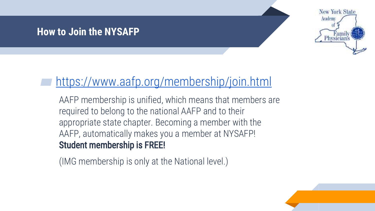#### **How to Join the NYSAFP**



# <https://www.aafp.org/membership/join.html>

AAFP membership is unified, which means that members are required to belong to the national AAFP and to their appropriate state chapter. Becoming a member with the AAFP, automatically makes you a member at NYSAFP! Student membership is FREE!

(IMG membership is only at the National level.)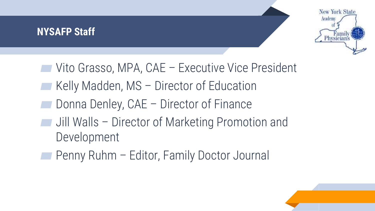### **NYSAFP Staff**



- ▰ Vito Grasso, MPA, CAE Executive Vice President
- Kelly Madden, MS Director of Education
- ▰ Donna Denley, CAE Director of Finance
- ▰ Jill Walls Director of Marketing Promotion and Development
- ▰ Penny Ruhm Editor, Family Doctor Journal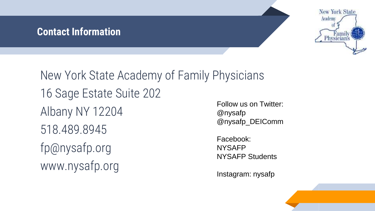#### **Contact Information**



New York State Academy of Family Physicians 16 Sage Estate Suite 202 Albany NY 12204 518.489.8945 fp@nysafp.org www.nysafp.org @nysafp Facebook: NYSAFP

Follow us on Twitter: @nysafp\_DEIComm

NYSAFP Students

Instagram: nysafp